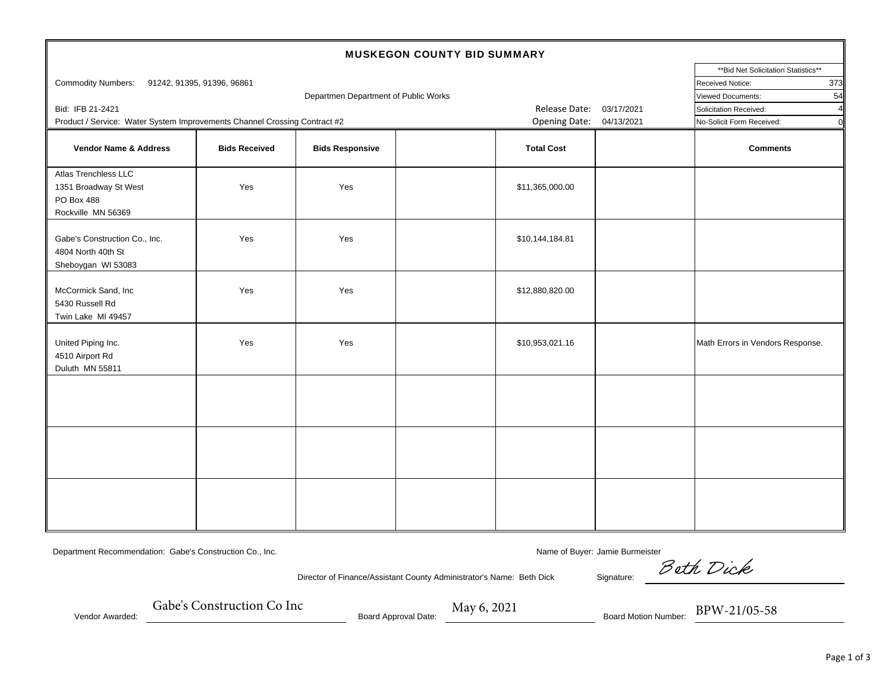| <b>MUSKEGON COUNTY BID SUMMARY</b>                                                |                      |                                      |                          |                   |                                          |                                  |  |  |  |  |
|-----------------------------------------------------------------------------------|----------------------|--------------------------------------|--------------------------|-------------------|------------------------------------------|----------------------------------|--|--|--|--|
|                                                                                   |                      | ** Bid Net Solicitation Statistics** |                          |                   |                                          |                                  |  |  |  |  |
| Commodity Numbers: 91242, 91395, 91396, 96861                                     |                      | 373<br>Received Notice:              |                          |                   |                                          |                                  |  |  |  |  |
|                                                                                   |                      | 54<br><b>Viewed Documents:</b>       |                          |                   |                                          |                                  |  |  |  |  |
| Bid: IFB 21-2421                                                                  |                      | Departmen Department of Public Works | Release Date:            | 03/17/2021        | Solicitation Received:<br>4 <sup>1</sup> |                                  |  |  |  |  |
| Product / Service: Water System Improvements Channel Crossing Contract #2         |                      |                                      | Opening Date: 04/13/2021 |                   | οl<br>No-Solicit Form Received:          |                                  |  |  |  |  |
| <b>Vendor Name &amp; Address</b>                                                  | <b>Bids Received</b> | <b>Bids Responsive</b>               |                          | <b>Total Cost</b> |                                          | <b>Comments</b>                  |  |  |  |  |
| Atlas Trenchless LLC<br>1351 Broadway St West<br>PO Box 488<br>Rockville MN 56369 | Yes                  | Yes                                  |                          | \$11,365,000.00   |                                          |                                  |  |  |  |  |
| Gabe's Construction Co., Inc.<br>4804 North 40th St<br>Sheboygan WI 53083         | Yes                  | Yes                                  |                          | \$10,144,184.81   |                                          |                                  |  |  |  |  |
| McCormick Sand, Inc<br>5430 Russell Rd<br>Twin Lake MI 49457                      | Yes                  | Yes                                  |                          | \$12,880,820.00   |                                          |                                  |  |  |  |  |
| United Piping Inc.<br>4510 Airport Rd<br>Duluth MN 55811                          | Yes                  | Yes                                  |                          | \$10,953,021.16   |                                          | Math Errors in Vendors Response. |  |  |  |  |
|                                                                                   |                      |                                      |                          |                   |                                          |                                  |  |  |  |  |
|                                                                                   |                      |                                      |                          |                   |                                          |                                  |  |  |  |  |
|                                                                                   |                      |                                      |                          |                   |                                          |                                  |  |  |  |  |

Department Recommendation: Gabe's Construction Co., Inc. Name of Buyer: Jamie Burmeister Name of Buyer: Jamie Burmeister

Director of Finance/Assistant County Administrator's Name: Beth Dick Signature:

Beth Dick

Vendor Awarded:

Gabe's Construction Co Inc

\_ Board Approval Date:

Gabe's Construction Computer Board Approval Date: May 6, 2021<br>Board Motion Number: BPW-21/05-58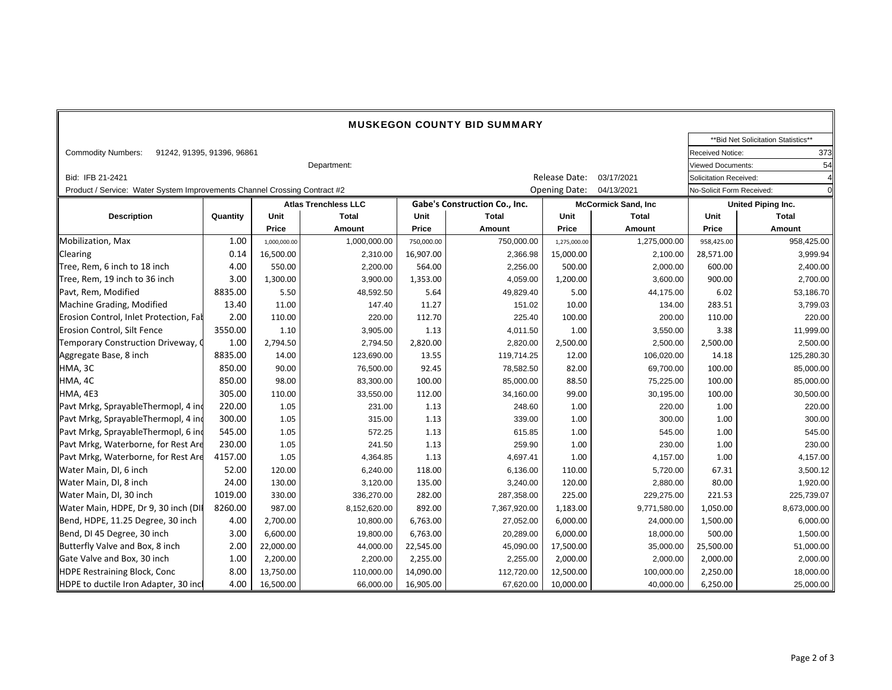| <b>MUSKEGON COUNTY BID SUMMARY</b>                                        |          |              |                             |                               |                                    |                            |                           |                                |                                      |  |
|---------------------------------------------------------------------------|----------|--------------|-----------------------------|-------------------------------|------------------------------------|----------------------------|---------------------------|--------------------------------|--------------------------------------|--|
|                                                                           |          |              |                             |                               |                                    |                            |                           |                                | ** Bid Net Solicitation Statistics** |  |
| <b>Commodity Numbers:</b><br>91242, 91395, 91396, 96861                   |          |              |                             |                               |                                    |                            |                           |                                | 373<br>Received Notice:              |  |
| Department:                                                               |          |              |                             |                               |                                    |                            |                           | 54<br><b>Viewed Documents:</b> |                                      |  |
| Bid: IFB 21-2421                                                          |          |              |                             |                               | Release Date:<br>03/17/2021        |                            | Solicitation Received:    |                                |                                      |  |
| Product / Service: Water System Improvements Channel Crossing Contract #2 |          |              |                             |                               | <b>Opening Date:</b><br>04/13/2021 |                            | No-Solicit Form Received: |                                |                                      |  |
|                                                                           |          |              | <b>Atlas Trenchless LLC</b> | Gabe's Construction Co., Inc. |                                    | <b>McCormick Sand, Inc</b> |                           | United Piping Inc.             |                                      |  |
| <b>Description</b>                                                        | Quantity | Unit         | <b>Total</b>                | Unit                          | <b>Total</b>                       | Unit                       | <b>Total</b>              | Unit                           | <b>Total</b>                         |  |
|                                                                           |          | Price        | Amount                      | Price                         | Amount                             | Price                      | Amount                    | Price                          | Amount                               |  |
| Mobilization, Max                                                         | 1.00     | 1,000,000.00 | 1,000,000.00                | 750,000.00                    | 750,000.00                         | 1,275,000.00               | 1,275,000.00              | 958,425.00                     | 958,425.00                           |  |
| <b>Clearing</b>                                                           | 0.14     | 16,500.00    | 2,310.00                    | 16,907.00                     | 2,366.98                           | 15,000.00                  | 2,100.00                  | 28,571.00                      | 3,999.94                             |  |
| Tree, Rem, 6 inch to 18 inch                                              | 4.00     | 550.00       | 2,200.00                    | 564.00                        | 2,256.00                           | 500.00                     | 2,000.00                  | 600.00                         | 2,400.00                             |  |
| Tree, Rem, 19 inch to 36 inch                                             | 3.00     | 1,300.00     | 3,900.00                    | 1,353.00                      | 4,059.00                           | 1,200.00                   | 3,600.00                  | 900.00                         | 2,700.00                             |  |
| Pavt, Rem, Modified                                                       | 8835.00  | 5.50         | 48,592.50                   | 5.64                          | 49,829.40                          | 5.00                       | 44,175.00                 | 6.02                           | 53,186.70                            |  |
| Machine Grading, Modified                                                 | 13.40    | 11.00        | 147.40                      | 11.27                         | 151.02                             | 10.00                      | 134.00                    | 283.51                         | 3,799.03                             |  |
| Erosion Control, Inlet Protection, Fal                                    | 2.00     | 110.00       | 220.00                      | 112.70                        | 225.40                             | 100.00                     | 200.00                    | 110.00                         | 220.00                               |  |
| Erosion Control, Silt Fence                                               | 3550.00  | 1.10         | 3,905.00                    | 1.13                          | 4,011.50                           | 1.00                       | 3,550.00                  | 3.38                           | 11,999.00                            |  |
| Temporary Construction Driveway, C                                        | 1.00     | 2,794.50     | 2,794.50                    | 2,820.00                      | 2,820.00                           | 2,500.00                   | 2,500.00                  | 2,500.00                       | 2,500.00                             |  |
| Aggregate Base, 8 inch                                                    | 8835.00  | 14.00        | 123,690.00                  | 13.55                         | 119,714.25                         | 12.00                      | 106,020.00                | 14.18                          | 125,280.30                           |  |
| HMA, 3C                                                                   | 850.00   | 90.00        | 76,500.00                   | 92.45                         | 78,582.50                          | 82.00                      | 69,700.00                 | 100.00                         | 85,000.00                            |  |
| HMA, 4C                                                                   | 850.00   | 98.00        | 83,300.00                   | 100.00                        | 85,000.00                          | 88.50                      | 75,225.00                 | 100.00                         | 85,000.00                            |  |
| HMA, 4E3                                                                  | 305.00   | 110.00       | 33,550.00                   | 112.00                        | 34,160.00                          | 99.00                      | 30,195.00                 | 100.00                         | 30,500.00                            |  |
| Pavt Mrkg, SprayableThermopl, 4 ind                                       | 220.00   | 1.05         | 231.00                      | 1.13                          | 248.60                             | 1.00                       | 220.00                    | 1.00                           | 220.00                               |  |
| Pavt Mrkg, SprayableThermopl, 4 ind                                       | 300.00   | 1.05         | 315.00                      | 1.13                          | 339.00                             | 1.00                       | 300.00                    | 1.00                           | 300.00                               |  |
| Pavt Mrkg, SprayableThermopl, 6 ind                                       | 545.00   | 1.05         | 572.25                      | 1.13                          | 615.85                             | 1.00                       | 545.00                    | 1.00                           | 545.00                               |  |
| Pavt Mrkg, Waterborne, for Rest Are                                       | 230.00   | 1.05         | 241.50                      | 1.13                          | 259.90                             | 1.00                       | 230.00                    | 1.00                           | 230.00                               |  |
| Pavt Mrkg, Waterborne, for Rest Are                                       | 4157.00  | 1.05         | 4,364.85                    | 1.13                          | 4,697.41                           | 1.00                       | 4,157.00                  | 1.00                           | 4,157.00                             |  |
| Water Main, DI, 6 inch                                                    | 52.00    | 120.00       | 6,240.00                    | 118.00                        | 6,136.00                           | 110.00                     | 5,720.00                  | 67.31                          | 3,500.12                             |  |
| Water Main, DI, 8 inch                                                    | 24.00    | 130.00       | 3,120.00                    | 135.00                        | 3,240.00                           | 120.00                     | 2,880.00                  | 80.00                          | 1,920.00                             |  |
| Water Main, DI, 30 inch                                                   | 1019.00  | 330.00       | 336,270.00                  | 282.00                        | 287,358.00                         | 225.00                     | 229,275.00                | 221.53                         | 225,739.07                           |  |
| Water Main, HDPE, Dr 9, 30 inch (DII                                      | 8260.00  | 987.00       | 8,152,620.00                | 892.00                        | 7,367,920.00                       | 1,183.00                   | 9,771,580.00              | 1,050.00                       | 8,673,000.00                         |  |
| Bend, HDPE, 11.25 Degree, 30 inch                                         | 4.00     | 2,700.00     | 10,800.00                   | 6,763.00                      | 27,052.00                          | 6,000.00                   | 24,000.00                 | 1,500.00                       | 6,000.00                             |  |
| Bend, DI 45 Degree, 30 inch                                               | 3.00     | 6,600.00     | 19,800.00                   | 6,763.00                      | 20,289.00                          | 6,000.00                   | 18,000.00                 | 500.00                         | 1,500.00                             |  |
| Butterfly Valve and Box, 8 inch                                           | 2.00     | 22,000.00    | 44,000.00                   | 22,545.00                     | 45,090.00                          | 17,500.00                  | 35,000.00                 | 25,500.00                      | 51,000.00                            |  |
| Gate Valve and Box, 30 inch                                               | 1.00     | 2,200.00     | 2,200.00                    | 2,255.00                      | 2,255.00                           | 2,000.00                   | 2,000.00                  | 2,000.00                       | 2,000.00                             |  |
| HDPE Restraining Block, Conc                                              | 8.00     | 13,750.00    | 110,000.00                  | 14,090.00                     | 112,720.00                         | 12,500.00                  | 100,000.00                | 2,250.00                       | 18,000.00                            |  |
| HDPE to ductile Iron Adapter, 30 inc                                      | 4.00     | 16,500.00    | 66,000.00                   | 16,905.00                     | 67,620.00                          | 10,000.00                  | 40,000.00                 | 6,250.00                       | 25,000.00                            |  |